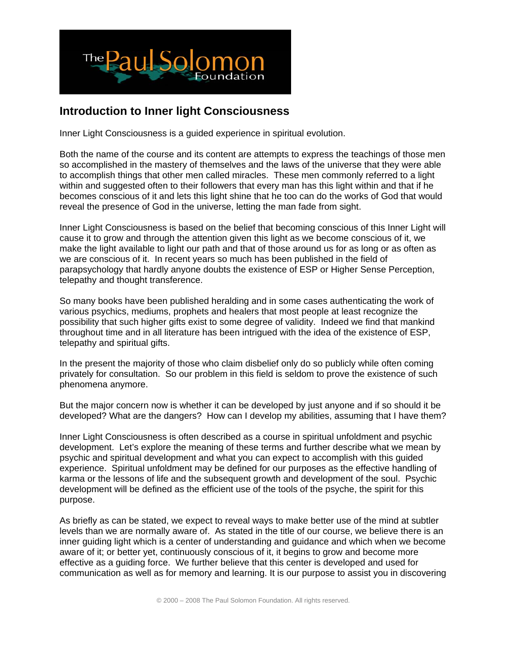

## **Introduction to Inner light Consciousness**

Inner Light Consciousness is a guided experience in spiritual evolution.

Both the name of the course and its content are attempts to express the teachings of those men so accomplished in the mastery of themselves and the laws of the universe that they were able to accomplish things that other men called miracles. These men commonly referred to a light within and suggested often to their followers that every man has this light within and that if he becomes conscious of it and lets this light shine that he too can do the works of God that would reveal the presence of God in the universe, letting the man fade from sight.

Inner Light Consciousness is based on the belief that becoming conscious of this Inner Light will cause it to grow and through the attention given this light as we become conscious of it, we make the light available to light our path and that of those around us for as long or as often as we are conscious of it. In recent years so much has been published in the field of parapsychology that hardly anyone doubts the existence of ESP or Higher Sense Perception, telepathy and thought transference.

So many books have been published heralding and in some cases authenticating the work of various psychics, mediums, prophets and healers that most people at least recognize the possibility that such higher gifts exist to some degree of validity. Indeed we find that mankind throughout time and in all literature has been intrigued with the idea of the existence of ESP, telepathy and spiritual gifts.

In the present the majority of those who claim disbelief only do so publicly while often coming privately for consultation. So our problem in this field is seldom to prove the existence of such phenomena anymore.

But the major concern now is whether it can be developed by just anyone and if so should it be developed? What are the dangers? How can I develop my abilities, assuming that I have them?

Inner Light Consciousness is often described as a course in spiritual unfoldment and psychic development. Let's explore the meaning of these terms and further describe what we mean by psychic and spiritual development and what you can expect to accomplish with this guided experience. Spiritual unfoldment may be defined for our purposes as the effective handling of karma or the lessons of life and the subsequent growth and development of the soul. Psychic development will be defined as the efficient use of the tools of the psyche, the spirit for this purpose.

As briefly as can be stated, we expect to reveal ways to make better use of the mind at subtler levels than we are normally aware of. As stated in the title of our course, we believe there is an inner guiding light which is a center of understanding and guidance and which when we become aware of it; or better yet, continuously conscious of it, it begins to grow and become more effective as a guiding force. We further believe that this center is developed and used for communication as well as for memory and learning. It is our purpose to assist you in discovering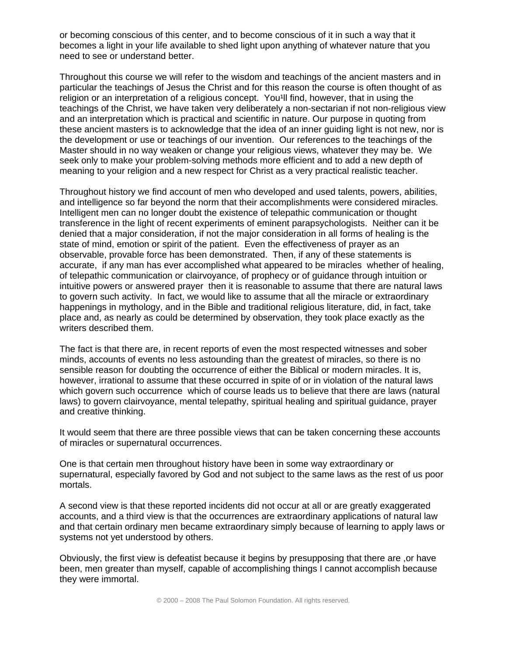or becoming conscious of this center, and to become conscious of it in such a way that it becomes a light in your life available to shed light upon anything of whatever nature that you need to see or understand better.

Throughout this course we will refer to the wisdom and teachings of the ancient masters and in particular the teachings of Jesus the Christ and for this reason the course is often thought of as religion or an interpretation of a religious concept. You'll find, however, that in using the teachings of the Christ, we have taken very deliberately a non-sectarian if not non-religious view and an interpretation which is practical and scientific in nature. Our purpose in quoting from these ancient masters is to acknowledge that the idea of an inner guiding light is not new, nor is the development or use or teachings of our invention. Our references to the teachings of the Master should in no way weaken or change your religious views, whatever they may be. We seek only to make your problem-solving methods more efficient and to add a new depth of meaning to your religion and a new respect for Christ as a very practical realistic teacher.

Throughout history we find account of men who developed and used talents, powers, abilities, and intelligence so far beyond the norm that their accomplishments were considered miracles. Intelligent men can no longer doubt the existence of telepathic communication or thought transference in the light of recent experiments of eminent parapsychologists. Neither can it be denied that a major consideration, if not the major consideration in all forms of healing is the state of mind, emotion or spirit of the patient. Even the effectiveness of prayer as an observable, provable force has been demonstrated. Then, if any of these statements is accurate, if any man has ever accomplished what appeared to be miracles whether of healing, of telepathic communication or clairvoyance, of prophecy or of guidance through intuition or intuitive powers or answered prayer then it is reasonable to assume that there are natural laws to govern such activity. In fact, we would like to assume that all the miracle or extraordinary happenings in mythology, and in the Bible and traditional religious literature, did, in fact, take place and, as nearly as could be determined by observation, they took place exactly as the writers described them.

The fact is that there are, in recent reports of even the most respected witnesses and sober minds, accounts of events no less astounding than the greatest of miracles, so there is no sensible reason for doubting the occurrence of either the Biblical or modern miracles. It is, however, irrational to assume that these occurred in spite of or in violation of the natural laws which govern such occurrence which of course leads us to believe that there are laws (natural laws) to govern clairvoyance, mental telepathy, spiritual healing and spiritual guidance, prayer and creative thinking.

It would seem that there are three possible views that can be taken concerning these accounts of miracles or supernatural occurrences.

One is that certain men throughout history have been in some way extraordinary or supernatural, especially favored by God and not subject to the same laws as the rest of us poor mortals.

A second view is that these reported incidents did not occur at all or are greatly exaggerated accounts, and a third view is that the occurrences are extraordinary applications of natural law and that certain ordinary men became extraordinary simply because of learning to apply laws or systems not yet understood by others.

Obviously, the first view is defeatist because it begins by presupposing that there are ,or have been, men greater than myself, capable of accomplishing things I cannot accomplish because they were immortal.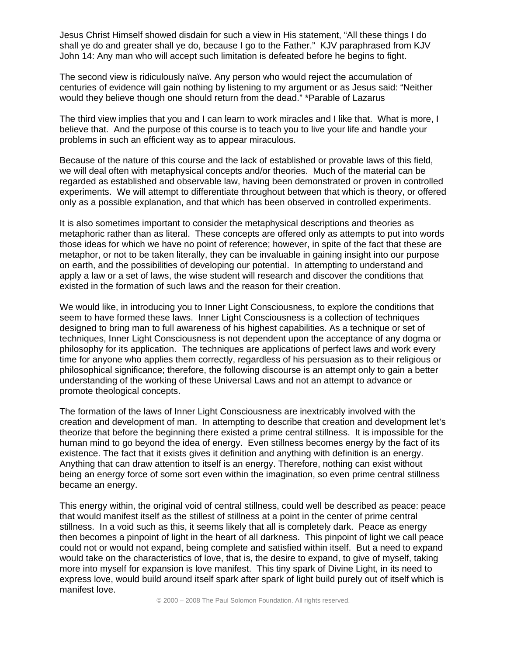Jesus Christ Himself showed disdain for such a view in His statement, "All these things I do shall ye do and greater shall ye do, because I go to the Father." KJV paraphrased from KJV John 14: Any man who will accept such limitation is defeated before he begins to fight.

The second view is ridiculously naïve. Any person who would reject the accumulation of centuries of evidence will gain nothing by listening to my argument or as Jesus said: "Neither would they believe though one should return from the dead." \*Parable of Lazarus

The third view implies that you and I can learn to work miracles and I like that. What is more, I believe that. And the purpose of this course is to teach you to live your life and handle your problems in such an efficient way as to appear miraculous.

Because of the nature of this course and the lack of established or provable laws of this field, we will deal often with metaphysical concepts and/or theories. Much of the material can be regarded as established and observable law, having been demonstrated or proven in controlled experiments. We will attempt to differentiate throughout between that which is theory, or offered only as a possible explanation, and that which has been observed in controlled experiments.

It is also sometimes important to consider the metaphysical descriptions and theories as metaphoric rather than as literal. These concepts are offered only as attempts to put into words those ideas for which we have no point of reference; however, in spite of the fact that these are metaphor, or not to be taken literally, they can be invaluable in gaining insight into our purpose on earth, and the possibilities of developing our potential. In attempting to understand and apply a law or a set of laws, the wise student will research and discover the conditions that existed in the formation of such laws and the reason for their creation.

We would like, in introducing you to Inner Light Consciousness, to explore the conditions that seem to have formed these laws. Inner Light Consciousness is a collection of techniques designed to bring man to full awareness of his highest capabilities. As a technique or set of techniques, Inner Light Consciousness is not dependent upon the acceptance of any dogma or philosophy for its application. The techniques are applications of perfect laws and work every time for anyone who applies them correctly, regardless of his persuasion as to their religious or philosophical significance; therefore, the following discourse is an attempt only to gain a better understanding of the working of these Universal Laws and not an attempt to advance or promote theological concepts.

The formation of the laws of Inner Light Consciousness are inextricably involved with the creation and development of man. In attempting to describe that creation and development let's theorize that before the beginning there existed a prime central stillness. It is impossible for the human mind to go beyond the idea of energy. Even stillness becomes energy by the fact of its existence. The fact that it exists gives it definition and anything with definition is an energy. Anything that can draw attention to itself is an energy. Therefore, nothing can exist without being an energy force of some sort even within the imagination, so even prime central stillness became an energy.

This energy within, the original void of central stillness, could well be described as peace: peace that would manifest itself as the stillest of stillness at a point in the center of prime central stillness. In a void such as this, it seems likely that all is completely dark. Peace as energy then becomes a pinpoint of light in the heart of all darkness. This pinpoint of light we call peace could not or would not expand, being complete and satisfied within itself. But a need to expand would take on the characteristics of love, that is, the desire to expand, to give of myself, taking more into myself for expansion is love manifest. This tiny spark of Divine Light, in its need to express love, would build around itself spark after spark of light build purely out of itself which is manifest love.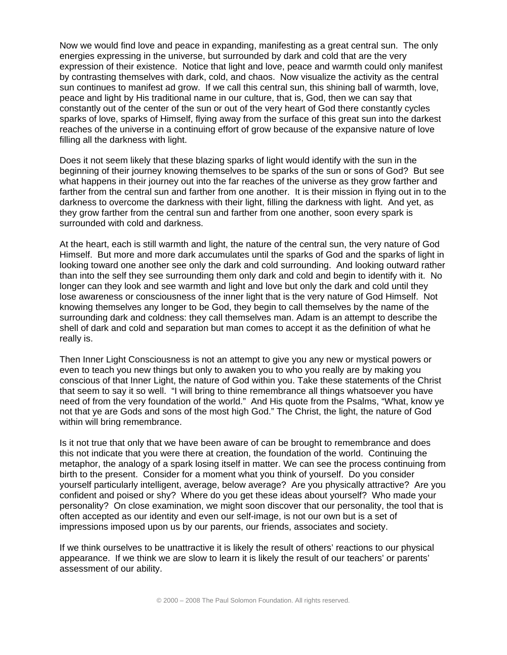Now we would find love and peace in expanding, manifesting as a great central sun. The only energies expressing in the universe, but surrounded by dark and cold that are the very expression of their existence. Notice that light and love, peace and warmth could only manifest by contrasting themselves with dark, cold, and chaos. Now visualize the activity as the central sun continues to manifest ad grow. If we call this central sun, this shining ball of warmth, love, peace and light by His traditional name in our culture, that is, God, then we can say that constantly out of the center of the sun or out of the very heart of God there constantly cycles sparks of love, sparks of Himself, flying away from the surface of this great sun into the darkest reaches of the universe in a continuing effort of grow because of the expansive nature of love filling all the darkness with light.

Does it not seem likely that these blazing sparks of light would identify with the sun in the beginning of their journey knowing themselves to be sparks of the sun or sons of God? But see what happens in their journey out into the far reaches of the universe as they grow farther and farther from the central sun and farther from one another. It is their mission in flying out in to the darkness to overcome the darkness with their light, filling the darkness with light. And yet, as they grow farther from the central sun and farther from one another, soon every spark is surrounded with cold and darkness.

At the heart, each is still warmth and light, the nature of the central sun, the very nature of God Himself. But more and more dark accumulates until the sparks of God and the sparks of light in looking toward one another see only the dark and cold surrounding. And looking outward rather than into the self they see surrounding them only dark and cold and begin to identify with it. No longer can they look and see warmth and light and love but only the dark and cold until they lose awareness or consciousness of the inner light that is the very nature of God Himself. Not knowing themselves any longer to be God, they begin to call themselves by the name of the surrounding dark and coldness: they call themselves man. Adam is an attempt to describe the shell of dark and cold and separation but man comes to accept it as the definition of what he really is.

Then Inner Light Consciousness is not an attempt to give you any new or mystical powers or even to teach you new things but only to awaken you to who you really are by making you conscious of that Inner Light, the nature of God within you. Take these statements of the Christ that seem to say it so well. "I will bring to thine remembrance all things whatsoever you have need of from the very foundation of the world." And His quote from the Psalms, "What, know ye not that ye are Gods and sons of the most high God." The Christ, the light, the nature of God within will bring remembrance.

Is it not true that only that we have been aware of can be brought to remembrance and does this not indicate that you were there at creation, the foundation of the world. Continuing the metaphor, the analogy of a spark losing itself in matter. We can see the process continuing from birth to the present. Consider for a moment what you think of yourself. Do you consider yourself particularly intelligent, average, below average? Are you physically attractive? Are you confident and poised or shy? Where do you get these ideas about yourself? Who made your personality? On close examination, we might soon discover that our personality, the tool that is often accepted as our identity and even our self-image, is not our own but is a set of impressions imposed upon us by our parents, our friends, associates and society.

If we think ourselves to be unattractive it is likely the result of others' reactions to our physical appearance. If we think we are slow to learn it is likely the result of our teachers' or parents' assessment of our ability.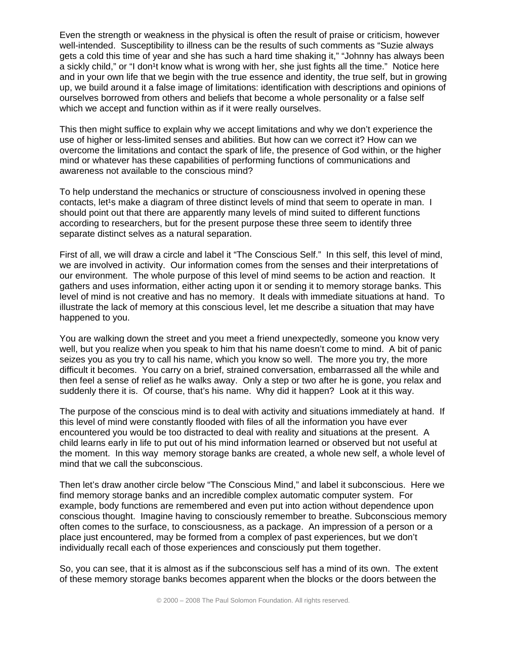Even the strength or weakness in the physical is often the result of praise or criticism, however well-intended. Susceptibility to illness can be the results of such comments as "Suzie always gets a cold this time of year and she has such a hard time shaking it," "Johnny has always been a sickly child," or "I don<sup>1</sup>t know what is wrong with her, she just fights all the time." Notice here and in your own life that we begin with the true essence and identity, the true self, but in growing up, we build around it a false image of limitations: identification with descriptions and opinions of ourselves borrowed from others and beliefs that become a whole personality or a false self which we accept and function within as if it were really ourselves.

This then might suffice to explain why we accept limitations and why we don't experience the use of higher or less-limited senses and abilities. But how can we correct it? How can we overcome the limitations and contact the spark of life, the presence of God within, or the higher mind or whatever has these capabilities of performing functions of communications and awareness not available to the conscious mind?

To help understand the mechanics or structure of consciousness involved in opening these contacts, let<sup>1</sup>s make a diagram of three distinct levels of mind that seem to operate in man. I should point out that there are apparently many levels of mind suited to different functions according to researchers, but for the present purpose these three seem to identify three separate distinct selves as a natural separation.

First of all, we will draw a circle and label it "The Conscious Self." In this self, this level of mind, we are involved in activity. Our information comes from the senses and their interpretations of our environment. The whole purpose of this level of mind seems to be action and reaction. It gathers and uses information, either acting upon it or sending it to memory storage banks. This level of mind is not creative and has no memory. It deals with immediate situations at hand. To illustrate the lack of memory at this conscious level, let me describe a situation that may have happened to you.

You are walking down the street and you meet a friend unexpectedly, someone you know very well, but you realize when you speak to him that his name doesn't come to mind. A bit of panic seizes you as you try to call his name, which you know so well. The more you try, the more difficult it becomes. You carry on a brief, strained conversation, embarrassed all the while and then feel a sense of relief as he walks away. Only a step or two after he is gone, you relax and suddenly there it is. Of course, that's his name. Why did it happen? Look at it this way.

The purpose of the conscious mind is to deal with activity and situations immediately at hand. If this level of mind were constantly flooded with files of all the information you have ever encountered you would be too distracted to deal with reality and situations at the present. A child learns early in life to put out of his mind information learned or observed but not useful at the moment. In this way memory storage banks are created, a whole new self, a whole level of mind that we call the subconscious.

Then let's draw another circle below "The Conscious Mind," and label it subconscious. Here we find memory storage banks and an incredible complex automatic computer system. For example, body functions are remembered and even put into action without dependence upon conscious thought. Imagine having to consciously remember to breathe. Subconscious memory often comes to the surface, to consciousness, as a package. An impression of a person or a place just encountered, may be formed from a complex of past experiences, but we don't individually recall each of those experiences and consciously put them together.

So, you can see, that it is almost as if the subconscious self has a mind of its own. The extent of these memory storage banks becomes apparent when the blocks or the doors between the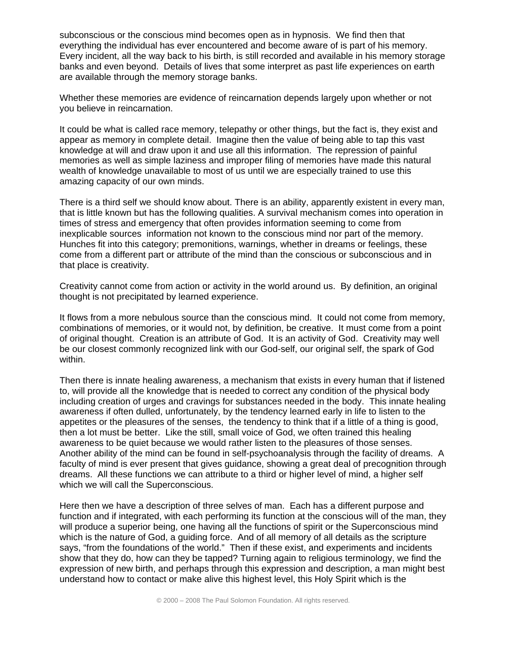subconscious or the conscious mind becomes open as in hypnosis. We find then that everything the individual has ever encountered and become aware of is part of his memory. Every incident, all the way back to his birth, is still recorded and available in his memory storage banks and even beyond. Details of lives that some interpret as past life experiences on earth are available through the memory storage banks.

Whether these memories are evidence of reincarnation depends largely upon whether or not you believe in reincarnation.

It could be what is called race memory, telepathy or other things, but the fact is, they exist and appear as memory in complete detail. Imagine then the value of being able to tap this vast knowledge at will and draw upon it and use all this information. The repression of painful memories as well as simple laziness and improper filing of memories have made this natural wealth of knowledge unavailable to most of us until we are especially trained to use this amazing capacity of our own minds.

There is a third self we should know about. There is an ability, apparently existent in every man, that is little known but has the following qualities. A survival mechanism comes into operation in times of stress and emergency that often provides information seeming to come from inexplicable sources information not known to the conscious mind nor part of the memory. Hunches fit into this category; premonitions, warnings, whether in dreams or feelings, these come from a different part or attribute of the mind than the conscious or subconscious and in that place is creativity.

Creativity cannot come from action or activity in the world around us. By definition, an original thought is not precipitated by learned experience.

It flows from a more nebulous source than the conscious mind. It could not come from memory, combinations of memories, or it would not, by definition, be creative. It must come from a point of original thought. Creation is an attribute of God. It is an activity of God. Creativity may well be our closest commonly recognized link with our God-self, our original self, the spark of God within.

Then there is innate healing awareness, a mechanism that exists in every human that if listened to, will provide all the knowledge that is needed to correct any condition of the physical body including creation of urges and cravings for substances needed in the body. This innate healing awareness if often dulled, unfortunately, by the tendency learned early in life to listen to the appetites or the pleasures of the senses, the tendency to think that if a little of a thing is good, then a lot must be better. Like the still, small voice of God, we often trained this healing awareness to be quiet because we would rather listen to the pleasures of those senses. Another ability of the mind can be found in self-psychoanalysis through the facility of dreams. A faculty of mind is ever present that gives guidance, showing a great deal of precognition through dreams. All these functions we can attribute to a third or higher level of mind, a higher self which we will call the Superconscious.

Here then we have a description of three selves of man. Each has a different purpose and function and if integrated, with each performing its function at the conscious will of the man, they will produce a superior being, one having all the functions of spirit or the Superconscious mind which is the nature of God, a guiding force. And of all memory of all details as the scripture says, "from the foundations of the world." Then if these exist, and experiments and incidents show that they do, how can they be tapped? Turning again to religious terminology, we find the expression of new birth, and perhaps through this expression and description, a man might best understand how to contact or make alive this highest level, this Holy Spirit which is the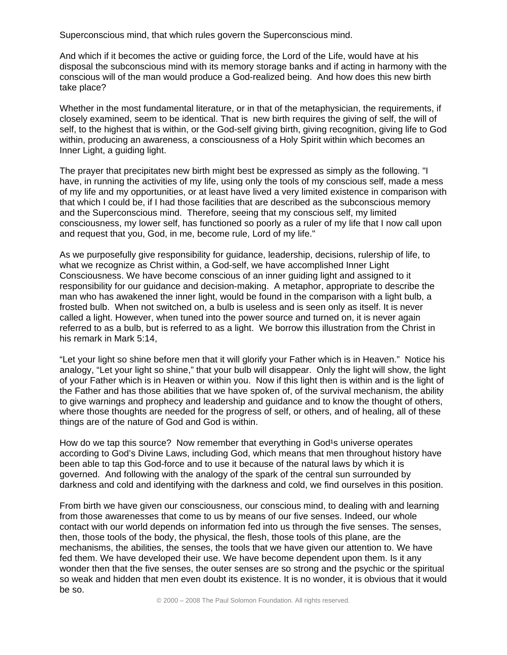Superconscious mind, that which rules govern the Superconscious mind.

And which if it becomes the active or guiding force, the Lord of the Life, would have at his disposal the subconscious mind with its memory storage banks and if acting in harmony with the conscious will of the man would produce a God-realized being. And how does this new birth take place?

Whether in the most fundamental literature, or in that of the metaphysician, the requirements, if closely examined, seem to be identical. That is new birth requires the giving of self, the will of self, to the highest that is within, or the God-self giving birth, giving recognition, giving life to God within, producing an awareness, a consciousness of a Holy Spirit within which becomes an Inner Light, a guiding light.

The prayer that precipitates new birth might best be expressed as simply as the following. "I have, in running the activities of my life, using only the tools of my conscious self, made a mess of my life and my opportunities, or at least have lived a very limited existence in comparison with that which I could be, if I had those facilities that are described as the subconscious memory and the Superconscious mind. Therefore, seeing that my conscious self, my limited consciousness, my lower self, has functioned so poorly as a ruler of my life that I now call upon and request that you, God, in me, become rule, Lord of my life."

As we purposefully give responsibility for guidance, leadership, decisions, rulership of life, to what we recognize as Christ within, a God-self, we have accomplished Inner Light Consciousness. We have become conscious of an inner guiding light and assigned to it responsibility for our guidance and decision-making. A metaphor, appropriate to describe the man who has awakened the inner light, would be found in the comparison with a light bulb, a frosted bulb. When not switched on, a bulb is useless and is seen only as itself. It is never called a light. However, when tuned into the power source and turned on, it is never again referred to as a bulb, but is referred to as a light. We borrow this illustration from the Christ in his remark in Mark 5:14,

"Let your light so shine before men that it will glorify your Father which is in Heaven." Notice his analogy, "Let your light so shine," that your bulb will disappear. Only the light will show, the light of your Father which is in Heaven or within you. Now if this light then is within and is the light of the Father and has those abilities that we have spoken of, of the survival mechanism, the ability to give warnings and prophecy and leadership and guidance and to know the thought of others, where those thoughts are needed for the progress of self, or others, and of healing, all of these things are of the nature of God and God is within.

How do we tap this source? Now remember that everything in God<sup>1</sup>s universe operates according to God's Divine Laws, including God, which means that men throughout history have been able to tap this God-force and to use it because of the natural laws by which it is governed. And following with the analogy of the spark of the central sun surrounded by darkness and cold and identifying with the darkness and cold, we find ourselves in this position.

From birth we have given our consciousness, our conscious mind, to dealing with and learning from those awarenesses that come to us by means of our five senses. Indeed, our whole contact with our world depends on information fed into us through the five senses. The senses, then, those tools of the body, the physical, the flesh, those tools of this plane, are the mechanisms, the abilities, the senses, the tools that we have given our attention to. We have fed them. We have developed their use. We have become dependent upon them. Is it any wonder then that the five senses, the outer senses are so strong and the psychic or the spiritual so weak and hidden that men even doubt its existence. It is no wonder, it is obvious that it would be so.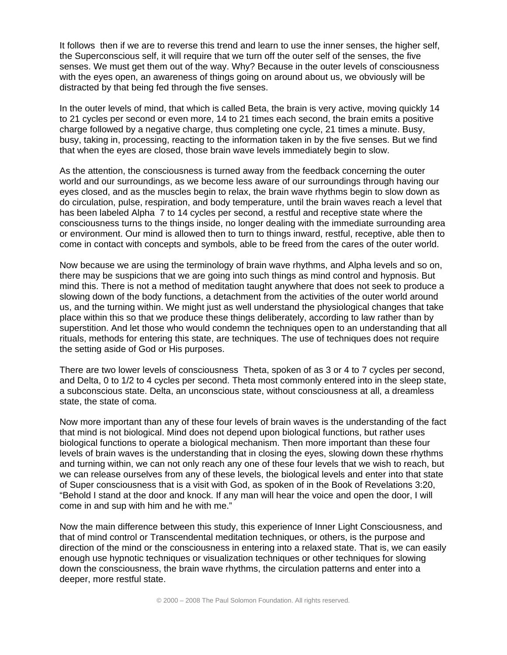It follows then if we are to reverse this trend and learn to use the inner senses, the higher self, the Superconscious self, it will require that we turn off the outer self of the senses, the five senses. We must get them out of the way. Why? Because in the outer levels of consciousness with the eyes open, an awareness of things going on around about us, we obviously will be distracted by that being fed through the five senses.

In the outer levels of mind, that which is called Beta, the brain is very active, moving quickly 14 to 21 cycles per second or even more, 14 to 21 times each second, the brain emits a positive charge followed by a negative charge, thus completing one cycle, 21 times a minute. Busy, busy, taking in, processing, reacting to the information taken in by the five senses. But we find that when the eyes are closed, those brain wave levels immediately begin to slow.

As the attention, the consciousness is turned away from the feedback concerning the outer world and our surroundings, as we become less aware of our surroundings through having our eyes closed, and as the muscles begin to relax, the brain wave rhythms begin to slow down as do circulation, pulse, respiration, and body temperature, until the brain waves reach a level that has been labeled Alpha 7 to 14 cycles per second, a restful and receptive state where the consciousness turns to the things inside, no longer dealing with the immediate surrounding area or environment. Our mind is allowed then to turn to things inward, restful, receptive, able then to come in contact with concepts and symbols, able to be freed from the cares of the outer world.

Now because we are using the terminology of brain wave rhythms, and Alpha levels and so on, there may be suspicions that we are going into such things as mind control and hypnosis. But mind this. There is not a method of meditation taught anywhere that does not seek to produce a slowing down of the body functions, a detachment from the activities of the outer world around us, and the turning within. We might just as well understand the physiological changes that take place within this so that we produce these things deliberately, according to law rather than by superstition. And let those who would condemn the techniques open to an understanding that all rituals, methods for entering this state, are techniques. The use of techniques does not require the setting aside of God or His purposes.

There are two lower levels of consciousness Theta, spoken of as 3 or 4 to 7 cycles per second, and Delta, 0 to 1/2 to 4 cycles per second. Theta most commonly entered into in the sleep state, a subconscious state. Delta, an unconscious state, without consciousness at all, a dreamless state, the state of coma.

Now more important than any of these four levels of brain waves is the understanding of the fact that mind is not biological. Mind does not depend upon biological functions, but rather uses biological functions to operate a biological mechanism. Then more important than these four levels of brain waves is the understanding that in closing the eyes, slowing down these rhythms and turning within, we can not only reach any one of these four levels that we wish to reach, but we can release ourselves from any of these levels, the biological levels and enter into that state of Super consciousness that is a visit with God, as spoken of in the Book of Revelations 3:20, "Behold I stand at the door and knock. If any man will hear the voice and open the door, I will come in and sup with him and he with me."

Now the main difference between this study, this experience of Inner Light Consciousness, and that of mind control or Transcendental meditation techniques, or others, is the purpose and direction of the mind or the consciousness in entering into a relaxed state. That is, we can easily enough use hypnotic techniques or visualization techniques or other techniques for slowing down the consciousness, the brain wave rhythms, the circulation patterns and enter into a deeper, more restful state.